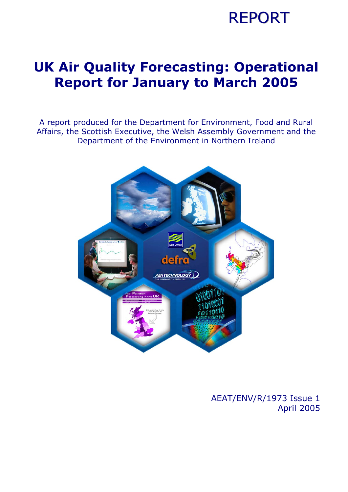

### **UK Air Quality Forecasting: Operational Report for January to March 2005**

A report produced for the Department for Environment, Food and Rural Affairs, the Scottish Executive, the Welsh Assembly Government and the Department of the Environment in Northern Ireland



### AEAT/ENV/R/1973 Issue 1 April 2005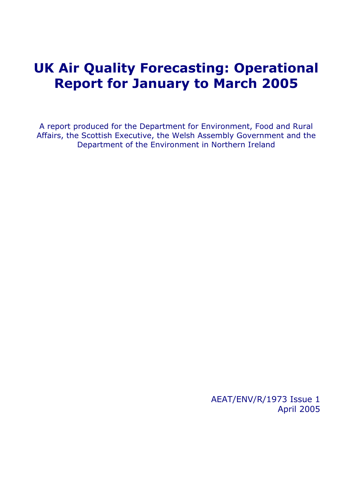### **UK Air Quality Forecasting: Operational Report for January to March 2005**

A report produced for the Department for Environment, Food and Rural Affairs, the Scottish Executive, the Welsh Assembly Government and the Department of the Environment in Northern Ireland

> AEAT/ENV/R/1973 Issue 1 April 2005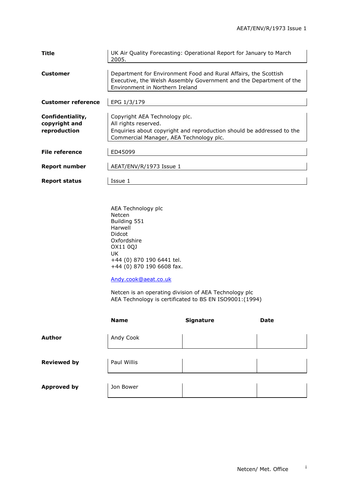| Title                                             | UK Air Quality Forecasting: Operational Report for January to March<br>2005.                                                                                              |
|---------------------------------------------------|---------------------------------------------------------------------------------------------------------------------------------------------------------------------------|
| <b>Customer</b>                                   | Department for Environment Food and Rural Affairs, the Scottish<br>Executive, the Welsh Assembly Government and the Department of the<br>Environment in Northern Ireland  |
| <b>Customer reference</b>                         | EPG 1/3/179                                                                                                                                                               |
| Confidentiality,<br>copyright and<br>reproduction | Copyright AEA Technology plc.<br>All rights reserved.<br>Enquiries about copyright and reproduction should be addressed to the<br>Commercial Manager, AEA Technology plc. |
| <b>File reference</b>                             | ED45099                                                                                                                                                                   |
| <b>Report number</b>                              | AEAT/ENV/R/1973 Issue 1                                                                                                                                                   |
| <b>Report status</b>                              | Issue 1                                                                                                                                                                   |

AEA Technology plc Netcen Building 551 **Harwell** Didcot Oxfordshire OX11 0QJ UK +44 (0) 870 190 6441 tel. +44 (0) 870 190 6608 fax.

Andy.cook@aeat.co.uk

 Netcen is an operating division of AEA Technology plc AEA Technology is certificated to BS EN ISO9001:(1994)

|                    | <b>Name</b> | Signature | <b>Date</b> |
|--------------------|-------------|-----------|-------------|
| <b>Author</b>      | Andy Cook   |           |             |
| <b>Reviewed by</b> | Paul Willis |           |             |
| <b>Approved by</b> | Jon Bower   |           |             |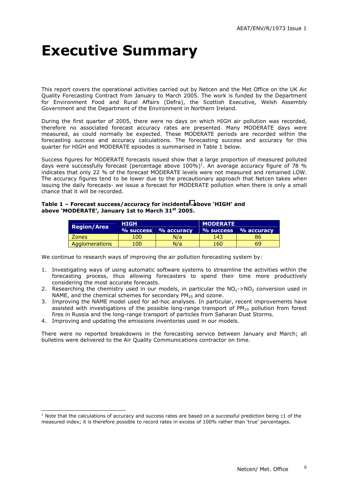## **Executive Summary**

This report covers the operational activities carried out by Netcen and the Met Office on the UK Air Quality Forecasting Contract from January to March 2005. The work is funded by the Department for Environment Food and Rural Affairs (Defra), the Scottish Executive, Welsh Assembly Government and the Department of the Environment in Northern Ireland.

During the first quarter of 2005, there were no days on which HIGH air pollution was recorded, therefore no associated forecast accuracy rates are presented. Many MODERATE days were measured, as could normally be expected. These MODERATE periods are recorded within the forecasting success and accuracy calculations. The forecasting success and accuracy for this quarter for HIGH and MODERATE episodes is summarised in Table 1 below.

Success figures for MODERATE forecasts issued show that a large proportion of measured polluted days were successfully forecast (percentage above  $100\%$ )<sup>1</sup>. An average accuracy figure of 78 % indicates that only 22 % of the forecast MODERATE levels were not measured and remained LOW. The accuracy figures tend to be lower due to the precautionary approach that Netcen takes when issuing the daily forecasts- we issue a forecast for MODERATE pollution when there is only a small chance that it will be recorded.

#### **Table 1 – Forecast success/accuracy for incidents1 above 'HIGH' and above 'MODERATE', January 1st to March 31st 2005.**

|                | <b>HIGH</b> |                      | <b>MODERATE</b> |                      |  |  |  |
|----------------|-------------|----------------------|-----------------|----------------------|--|--|--|
| Region/Area    |             | % success % accuracy |                 | % success % accuracy |  |  |  |
| Zones          | 100         | N/a                  | 143             | 86                   |  |  |  |
| Agglomerations | 100         | N/a                  | 160             | 69                   |  |  |  |

We continue to research ways of improving the air pollution forecasting system by:

- 1. Investigating ways of using automatic software systems to streamline the activities within the forecasting process, thus allowing forecasters to spend their time more productively considering the most accurate forecasts.
- 2. Researching the chemistry used in our models, in particular the  $NO<sub>x</sub>$  >NO<sub>2</sub> conversion used in NAME, and the chemical schemes for secondary  $PM_{10}$  and ozone.
- 3. Improving the NAME model used for ad-hoc analyses. In particular, recent improvements have assisted with investigations of the possible long-range transport of  $PM_{10}$  pollution from forest fires in Russia and the long-range transport of particles from Saharan Dust Storms.
- 4. Improving and updating the emissions inventories used in our models.

ł

There were no reported breakdowns in the forecasting service between January and March; all bulletins were delivered to the Air Quality Communications contractor on time.

<sup>&</sup>lt;sup>1</sup> Note that the calculations of accuracy and success rates are based on a successful prediction being  $\pm 1$  of the measured index; it is therefore possible to record rates in excess of 100% rather than 'true' percentages.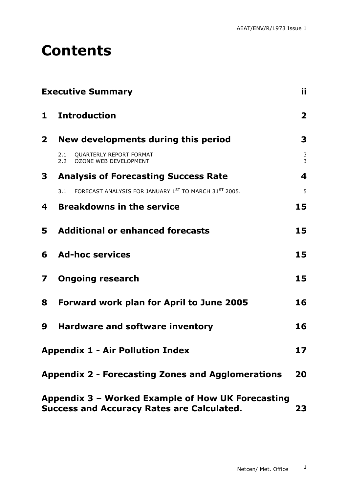## **Contents**

|                | Ϊi<br><b>Executive Summary</b><br>$\overline{\mathbf{2}}$<br>3<br><b>QUARTERLY REPORT FORMAT</b><br>3<br>$\overline{3}$<br><b>OZONE WEB DEVELOPMENT</b><br>4<br>FORECAST ANALYSIS FOR JANUARY 1ST TO MARCH 31ST 2005.<br>5<br>15<br>15<br>15<br>15<br>16 |    |
|----------------|----------------------------------------------------------------------------------------------------------------------------------------------------------------------------------------------------------------------------------------------------------|----|
| 1              | <b>Introduction</b>                                                                                                                                                                                                                                      |    |
| $\mathbf{2}^-$ | New developments during this period                                                                                                                                                                                                                      |    |
|                | 2.1<br>$2.2^{\circ}$                                                                                                                                                                                                                                     |    |
| 3              | <b>Analysis of Forecasting Success Rate</b>                                                                                                                                                                                                              |    |
|                | 3.1                                                                                                                                                                                                                                                      |    |
| 4              | <b>Breakdowns in the service</b>                                                                                                                                                                                                                         |    |
| 5.             | <b>Additional or enhanced forecasts</b>                                                                                                                                                                                                                  |    |
| 6              | <b>Ad-hoc services</b>                                                                                                                                                                                                                                   |    |
| 7              | <b>Ongoing research</b>                                                                                                                                                                                                                                  |    |
| 8              | <b>Forward work plan for April to June 2005</b>                                                                                                                                                                                                          |    |
| 9              | Hardware and software inventory                                                                                                                                                                                                                          | 16 |
|                | <b>Appendix 1 - Air Pollution Index</b>                                                                                                                                                                                                                  | 17 |
|                | <b>Appendix 2 - Forecasting Zones and Agglomerations</b>                                                                                                                                                                                                 | 20 |
|                | Appendix 3 - Worked Example of How UK Forecasting<br><b>Success and Accuracy Rates are Calculated.</b>                                                                                                                                                   | 23 |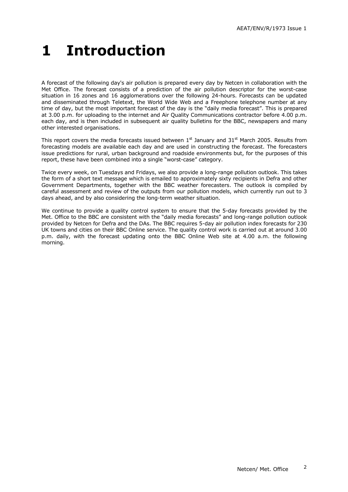# **1 Introduction**

A forecast of the following day's air pollution is prepared every day by Netcen in collaboration with the Met Office. The forecast consists of a prediction of the air pollution descriptor for the worst-case situation in 16 zones and 16 agglomerations over the following 24-hours. Forecasts can be updated and disseminated through Teletext, the World Wide Web and a Freephone telephone number at any time of day, but the most important forecast of the day is the "daily media forecast". This is prepared at 3.00 p.m. for uploading to the internet and Air Quality Communications contractor before 4.00 p.m. each day, and is then included in subsequent air quality bulletins for the BBC, newspapers and many other interested organisations.

This report covers the media forecasts issued between  $1<sup>st</sup>$  January and 31 $<sup>st</sup>$  March 2005. Results from</sup> forecasting models are available each day and are used in constructing the forecast. The forecasters issue predictions for rural, urban background and roadside environments but, for the purposes of this report, these have been combined into a single "worst-case" category.

Twice every week, on Tuesdays and Fridays, we also provide a long-range pollution outlook. This takes the form of a short text message which is emailed to approximately sixty recipients in Defra and other Government Departments, together with the BBC weather forecasters. The outlook is compiled by careful assessment and review of the outputs from our pollution models, which currently run out to 3 days ahead, and by also considering the long-term weather situation.

We continue to provide a quality control system to ensure that the 5-day forecasts provided by the Met. Office to the BBC are consistent with the "daily media forecasts" and long-range pollution outlook provided by Netcen for Defra and the DAs. The BBC requires 5-day air pollution index forecasts for 230 UK towns and cities on their BBC Online service. The quality control work is carried out at around 3.00 p.m. daily, with the forecast updating onto the BBC Online Web site at 4.00 a.m. the following morning.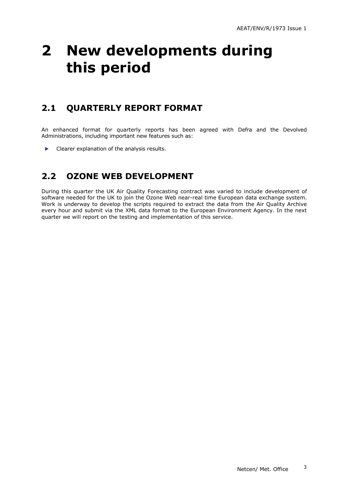## **2 New developments during this period**

### **2.1 QUARTERLY REPORT FORMAT**

An enhanced format for quarterly reports has been agreed with Defra and the Devolved Administrations, including important new features such as:

 $\blacktriangleright$  Clearer explanation of the analysis results.

### **2.2 OZONE WEB DEVELOPMENT**

During this quarter the UK Air Quality Forecasting contract was varied to include development of software needed for the UK to join the Ozone Web near-real time European data exchange system. Work is underway to develop the scripts required to extract the data from the Air Quality Archive every hour and submit via the XML data format to the European Environment Agency. In the next quarter we will report on the testing and implementation of this service.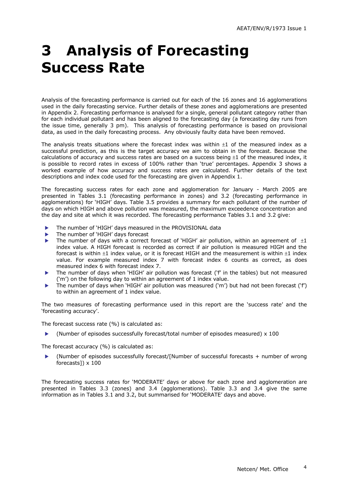# **3 Analysis of Forecasting Success Rate**

Analysis of the forecasting performance is carried out for each of the 16 zones and 16 agglomerations used in the daily forecasting service. Further details of these zones and agglomerations are presented in Appendix 2. Forecasting performance is analysed for a single, general pollutant category rather than for each individual pollutant and has been aligned to the forecasting day (a forecasting day runs from the issue time, generally 3 pm). This analysis of forecasting performance is based on provisional data, as used in the daily forecasting process. Any obviously faulty data have been removed.

The analysis treats situations where the forecast index was within  $\pm 1$  of the measured index as a successful prediction, as this is the target accuracy we aim to obtain in the forecast. Because the calculations of accuracy and success rates are based on a success being  $\pm 1$  of the measured index, it is possible to record rates in excess of 100% rather than 'true' percentages. Appendix 3 shows a worked example of how accuracy and success rates are calculated. Further details of the text descriptions and index code used for the forecasting are given in Appendix 1.

The forecasting success rates for each zone and agglomeration for January - March 2005 are presented in Tables 3.1 (forecasting performance in zones) and 3.2 (forecasting performance in agglomerations) for 'HIGH' days. Table 3.5 provides a summary for each pollutant of the number of days on which HIGH and above pollution was measured, the maximum exceedence concentration and the day and site at which it was recorded. The forecasting performance Tables 3.1 and 3.2 give:

- The number of 'HIGH' days measured in the PROVISIONAL data
- The number of 'HIGH' days forecast
- The number of days with a correct forecast of 'HIGH' air pollution, within an agreement of  $\pm 1$ index value. A HIGH forecast is recorded as correct if air pollution is measured HIGH and the forecast is within  $\pm 1$  index value, or it is forecast HIGH and the measurement is within  $\pm 1$  index value. For example measured index 7 with forecast index 6 counts as correct, as does measured index 6 with forecast index 7.
- The number of days when 'HIGH' air pollution was forecast ('f' in the tables) but not measured ('m') on the following day to within an agreement of 1 index value.
- The number of days when 'HIGH' air pollution was measured ('m') but had not been forecast ('f') to within an agreement of 1 index value.

The two measures of forecasting performance used in this report are the 'success rate' and the 'forecasting accuracy'.

The forecast success rate (%) is calculated as:

(Number of episodes successfully forecast/total number of episodes measured)  $\times$  100

The forecast accuracy (%) is calculated as:

(Number of episodes successfully forecast/[Number of successful forecasts  $+$  number of wrong forecasts]) x 100

The forecasting success rates for 'MODERATE' days or above for each zone and agglomeration are presented in Tables 3.3 (zones) and 3.4 (agglomerations). Table 3.3 and 3.4 give the same information as in Tables 3.1 and 3.2, but summarised for 'MODERATE' days and above.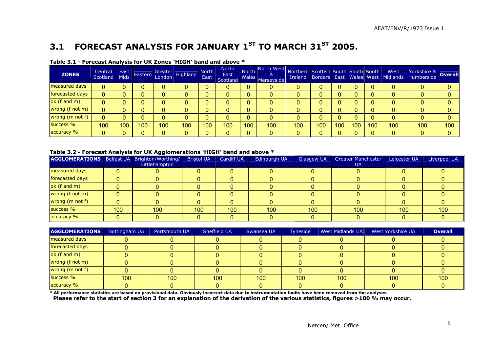### **3.1 FORECAST ANALYSIS FOR JANUARY 1ST TO MARCH 31ST 2005.**

| <b>ZONES</b>    | Central<br>Scotland | Mids | <b>Fast</b> Eastern |     | Greater<br>London Highland | <b>North</b><br>East | <b>North</b><br>East<br>Scotland | Wales.   | North North West Northern Scottish South South South  <br>&<br>Merseyside |     |     |     |     |     |     | Northern Scottish South South South West Yorkshire & Overall |     |
|-----------------|---------------------|------|---------------------|-----|----------------------------|----------------------|----------------------------------|----------|---------------------------------------------------------------------------|-----|-----|-----|-----|-----|-----|--------------------------------------------------------------|-----|
| measured days   | 0                   |      |                     |     |                            |                      | 0                                | 0        |                                                                           |     |     |     |     |     |     |                                                              |     |
| forecasted days |                     |      |                     |     |                            |                      | 0                                | 0        |                                                                           |     |     |     |     |     |     |                                                              |     |
| ok (f and m)    |                     |      |                     |     |                            |                      |                                  | 0        |                                                                           |     |     |     |     |     |     |                                                              |     |
| wrong (f not m) | 0                   |      |                     |     |                            |                      |                                  | 0        |                                                                           |     |     |     |     |     |     |                                                              |     |
| wrong (m not f) |                     |      |                     |     |                            |                      | 0                                | 0        | 0                                                                         |     |     |     |     |     |     |                                                              |     |
| success %       | 100                 | 100  | 100                 | 100 | 100                        | 100                  | 100                              | 100      | 100                                                                       | 100 | 100 | 100 | 100 | 100 | 100 | 100                                                          | 100 |
| accuracy %      |                     |      |                     |     |                            |                      |                                  | $\Omega$ |                                                                           |     |     |     |     |     |     |                                                              |     |

#### **Table 3.1 - Forecast Analysis for UK Zones 'HIGH' band and above \***

#### **Table 3.2 - Forecast Analysis for UK Agglomerations 'HIGH' band and above \***

| AGGLOMERATIONS   Belfast UA   Brighton/Worthing/ |     |               | <b>Bristol UA</b> | Cardiff UA | Edinburgh UA | Glasgow UA | <b>Greater Manchester</b> | Leicester UA | Liverpool UA |
|--------------------------------------------------|-----|---------------|-------------------|------------|--------------|------------|---------------------------|--------------|--------------|
|                                                  |     | Littlehampton |                   |            |              |            | UA                        |              |              |
| measured days                                    |     |               |                   |            |              |            |                           |              |              |
| forecasted days                                  |     |               |                   |            |              |            |                           |              |              |
| ok (f and m)                                     |     |               |                   |            |              |            |                           |              |              |
| wrong (f not m)                                  |     |               |                   |            |              |            |                           |              |              |
| wrong (m not f)                                  |     |               |                   |            |              |            |                           |              |              |
| success %                                        | 100 | 100           | 100               | 100        | 100          | 100        | 100                       | 100          | 100          |
| accuracy %                                       |     |               |                   |            |              |            |                           |              |              |

| <b>AGGLOMERATIONS</b> | Nottingham UA | Portsmouth UA | Sheffield UA | Swansea UA | Tyneside | West Midlands UA | West Yorkshire UA | <b>Overall</b> |
|-----------------------|---------------|---------------|--------------|------------|----------|------------------|-------------------|----------------|
| measured days         |               |               |              |            |          |                  |                   |                |
| forecasted days       |               |               |              |            |          |                  |                   |                |
| ok (f and m)          |               |               |              |            |          |                  |                   |                |
| wrong (f not m)       |               |               |              |            |          |                  |                   |                |
| wrong (m not f)       |               |               |              |            |          |                  |                   |                |
| success %             | 100           | 100           | 100          | 100        | 100      | 100              | 100               | 100            |
| accuracy %            |               |               |              |            |          |                  |                   |                |

**\* All performance statistics are based on provisional data. Obviously incorrect data due to instrumentation faults have been removed from the analyses.** 

 **Please refer to the start of section 3 for an explanation of the derivation of the various statistics, figures >100 % may occur.**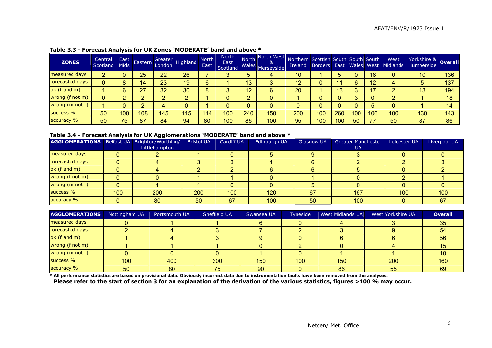| <b>ZONES</b>    | Central<br>Scotland | East<br><b>Mids</b> | Eastern |     | Greater<br>London Highland | <b>North</b><br>East | North<br>East<br><b>Scotland</b> | North<br>Wales, | North West<br>8 <sub>k</sub><br>Merseyside | Northern Scottish South South South | Ireland Borders East Wales West |     |     |         | West<br>Midlands | Yorkshire & Overall<br>Humberside |     |
|-----------------|---------------------|---------------------|---------|-----|----------------------------|----------------------|----------------------------------|-----------------|--------------------------------------------|-------------------------------------|---------------------------------|-----|-----|---------|------------------|-----------------------------------|-----|
| measured days   |                     |                     | 25      | 22  | 26                         |                      | ິ                                | b               |                                            | 10                                  |                                 |     |     | 16      |                  | 10 <sup>°</sup>                   | 136 |
| forecasted days |                     |                     | 14      | 23  | 19                         | 6                    |                                  | 13              |                                            | 12                                  |                                 |     | հ   | 10<br>L | 4                |                                   | 137 |
| ok (f and m)    |                     |                     | 07      | 32  | 30                         | 8                    | O                                | 12              |                                            | 20                                  |                                 | 3   |     |         |                  | 13 <sup>°</sup>                   | 194 |
| wrong (f not m) |                     |                     |         |     |                            |                      | υ                                | $\sim$          |                                            |                                     |                                 |     |     |         |                  |                                   | 18  |
| wrong (m not f) |                     |                     |         | 4   |                            |                      | 0                                | U               |                                            |                                     |                                 |     |     |         |                  |                                   | 14  |
| success %       | 50                  | 100                 | 108     | 145 | 115                        | 114                  | 100                              | 240             | 150                                        | 200                                 | 100                             | 260 | 100 | 106     | 100              | 130                               | 143 |
| accuracy %      | 50                  | 75                  | 87      | 84  | 94                         | 80                   | 100                              | 86              | 100                                        | 95                                  | 100                             | 100 | 50  |         | 50               | 87                                | 86  |

#### **Table 3.3 - Forecast Analysis for UK Zones 'MODERATE' band and above \***

#### **Table 3.4 - Forecast Analysis for UK Agglomerations 'MODERATE' band and above \***

| AGGLOMERATIONS   Belfast UA   Brighton/Worthing/ |     |               | <b>Bristol UA</b> | Cardiff UA | Edinburgh UA | Glasgow UA | <b>Greater Manchester</b> | Leicester UA | Liverpool UA |
|--------------------------------------------------|-----|---------------|-------------------|------------|--------------|------------|---------------------------|--------------|--------------|
|                                                  |     | Littlehampton |                   |            |              |            | UA.                       |              |              |
| measured days                                    |     |               |                   |            |              |            |                           |              |              |
| forecasted days                                  |     |               |                   |            |              |            |                           |              |              |
| ok (f and m)                                     |     |               |                   |            |              |            |                           |              |              |
| wrong (f not m)                                  |     |               |                   |            |              |            |                           |              |              |
| wrong (m not f)                                  |     |               |                   |            |              |            |                           |              |              |
| success %                                        | 100 | 200           | 200               | 100        | 120          | 67         | 167                       | 100          | 100          |
| accuracy %                                       |     | 80            | 50                | 67         | 100          | 50         | 100                       |              | 67           |

| <b>AGGLOMERATIONS</b> | Nottingham UA | Portsmouth UA | Sheffield UA | Swansea UA      | Tyneside | West Midlands UA | West Yorkshire UA | <b>Overall</b> |
|-----------------------|---------------|---------------|--------------|-----------------|----------|------------------|-------------------|----------------|
| measured days         |               |               |              |                 |          |                  |                   | 35             |
| forecasted days       |               |               |              |                 |          |                  |                   | 54             |
| ok (f and m)          |               |               |              |                 |          |                  |                   | 56             |
| wrong (f not m)       |               |               |              |                 |          |                  |                   |                |
| wrong (m not f)       |               |               |              |                 |          |                  |                   |                |
| success %             | 100           | 400           | 300          | 150             | 100      | 150              | 200               | 160            |
| accuracy %            | 50            | 80            | 75           | 90 <sub>o</sub> |          | 86               | 55                | 69             |

**\* All performance statistics are based on provisional data. Obviously incorrect data due to instrumentation faults have been removed from the analyses.** 

**Please refer to the start of section 3 for an explanation of the derivation of the various statistics, figures >100 % may occur.**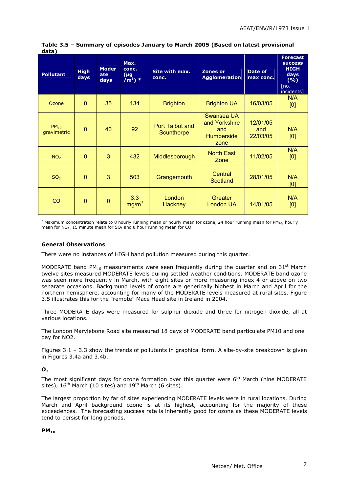| <b>Pollutant</b>         | <b>High</b><br>days | <b>Moder</b><br>ate<br>days | Max.<br>conc.<br>$(\mu g)$<br>$(m^3) *$ | Site with max.<br>conc.              | <b>Zones or</b><br><b>Agglomeration</b>                         | Date of<br>max conc.        | <b>Forecast</b><br><b>SUCCESS</b><br><b>HIGH</b><br>days<br>(%)<br>[no.]<br>incidents] |
|--------------------------|---------------------|-----------------------------|-----------------------------------------|--------------------------------------|-----------------------------------------------------------------|-----------------------------|----------------------------------------------------------------------------------------|
| Ozone                    | $\Omega$            | 35                          | 134                                     | <b>Brighton</b>                      | <b>Brighton UA</b>                                              | 16/03/05                    | N/A<br>[0]                                                                             |
| $PM_{10}$<br>gravimetric | $\Omega$            | 40                          | 92                                      | Port Talbot and<br><b>Scunthorpe</b> | Swansea UA<br>and Yorkshire<br>and<br><b>Humberside</b><br>zone | 12/01/05<br>and<br>22/03/05 | N/A<br>[0]                                                                             |
| NO <sub>2</sub>          | $\mathbf{0}$        | 3                           | 432                                     | Middlesborough                       | <b>North East</b><br>Zone                                       | 11/02/05                    | N/A<br>[0]                                                                             |
| SO <sub>2</sub>          | $\mathbf{0}$        | 3                           | 503                                     | Grangemouth                          | Central<br>Scotland                                             | 28/01/05                    | N/A<br> 0                                                                              |
| C <sub>O</sub>           | $\Omega$            | $\overline{0}$              | 3.3<br>mg/m <sup>3</sup>                | London<br><b>Hackney</b>             | Greater<br><b>London UA</b>                                     | 14/01/05                    | N/A<br>[0]                                                                             |

**Table 3.5 – Summary of episodes January to March 2005 (Based on latest provisional data)** 

\* Maximum concentration relate to 8 hourly running mean or hourly mean for ozone, 24 hour running mean for PM<sub>10</sub>, hourly mean for  $NO<sub>2</sub>$ , 15 minute mean for  $SO<sub>2</sub>$  and 8 hour running mean for CO.

#### **General Observations**

There were no instances of HIGH band pollution measured during this quarter.

MODERATE band PM<sub>10</sub> measurements were seen frequently during the quarter and on 31<sup>st</sup> March twelve sites measured MODERATE levels during settled weather conditions. MODERATE band ozone was seen more frequently in March, with eight sites or more measuring index 4 or above on two separate occasions. Background levels of ozone are generically highest in March and April for the northern hemisphere, accounting for many of the MODERATE levels measured at rural sites. Figure 3.5 illustrates this for the "remote" Mace Head site in Ireland in 2004.

Three MODERATE days were measured for sulphur dioxide and three for nitrogen dioxide, all at various locations.

The London Marylebone Road site measured 18 days of MODERATE band particulate PM10 and one day for NO2.

Figures 3.1 – 3.3 show the trends of pollutants in graphical form. A site-by-site breakdown is given in Figures 3.4a and 3.4b.

#### **O3**

The most significant days for ozone formation over this quarter were  $6<sup>th</sup>$  March (nine MODERATE sites),  $16^{th}$  March (10 sites) and  $19^{th}$  March (6 sites).

The largest proportion by far of sites experiencing MODERATE levels were in rural locations. During March and April background ozone is at its highest, accounting for the majority of these exceedences. The forecasting success rate is inherently good for ozone as these MODERATE levels tend to persist for long periods.

**PM10**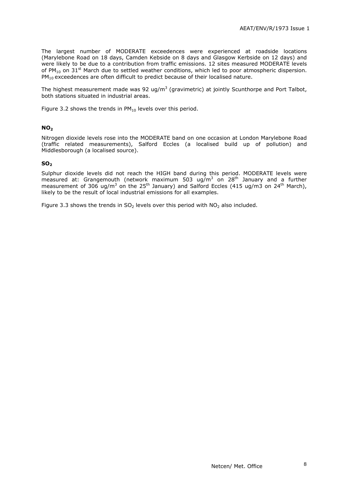The largest number of MODERATE exceedences were experienced at roadside locations (Marylebone Road on 18 days, Camden Kebside on 8 days and Glasgow Kerbside on 12 days) and were likely to be due to a contribution from traffic emissions. 12 sites measured MODERATE levels of  $PM_{10}$  on 31<sup>st</sup> March due to settled weather conditions, which led to poor atmospheric dispersion.  $PM_{10}$  exceedences are often difficult to predict because of their localised nature.

The highest measurement made was 92 ug/m<sup>3</sup> (gravimetric) at jointly Scunthorpe and Port Talbot, both stations situated in industrial areas.

Figure 3.2 shows the trends in  $PM_{10}$  levels over this period.

#### **NO<sub>2</sub>**

Nitrogen dioxide levels rose into the MODERATE band on one occasion at London Marylebone Road (traffic related measurements), Salford Eccles (a localised build up of pollution) and Middlesborough (a localised source).

#### **SO2**

Sulphur dioxide levels did not reach the HIGH band during this period. MODERATE levels were measured at: Grangemouth (network maximum 503 ug/m<sup>3</sup> on 28<sup>th</sup> January and a further measurement of 306 ug/m<sup>3</sup> on the 25<sup>th</sup> January) and Salford Eccles (415 ug/m3 on 24<sup>th</sup> March), likely to be the result of local industrial emissions for all examples.

Figure 3.3 shows the trends in  $SO_2$  levels over this period with  $NO_2$  also included.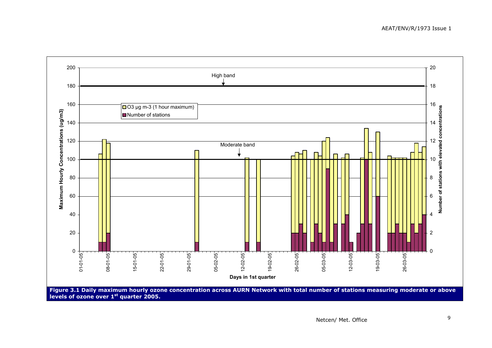AEAT/ENV/R/1973 Issue 1

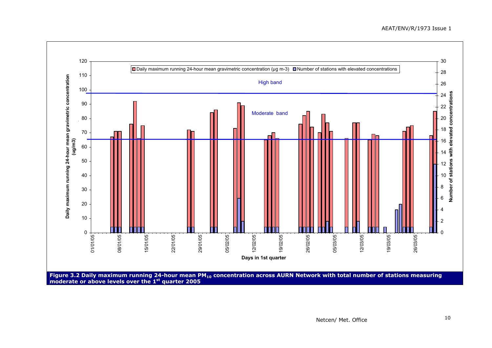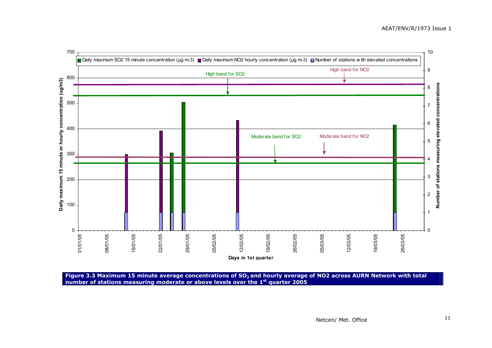

Figure 3.3 Maximum 15 minute average concentrations of SO<sub>2</sub> and hourly average of NO2 across AURN Network with total **number of stations measuring moderate or above levels over the 1st quarter 2005**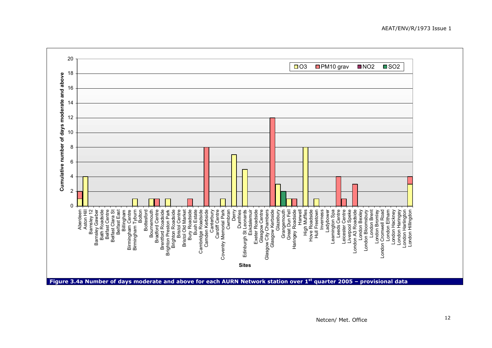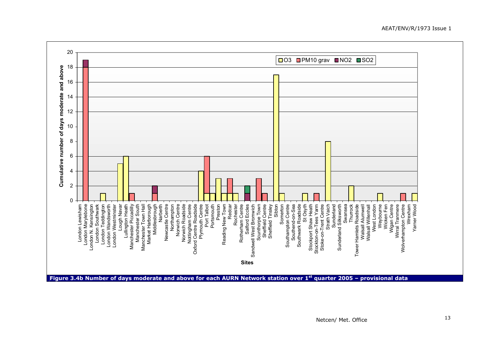

AEAT/ENV/R/1973 Issue 1

**Figure 3.4b Number of days moderate and above for each AURN Network station over 1st quarter 2005 – provisional data**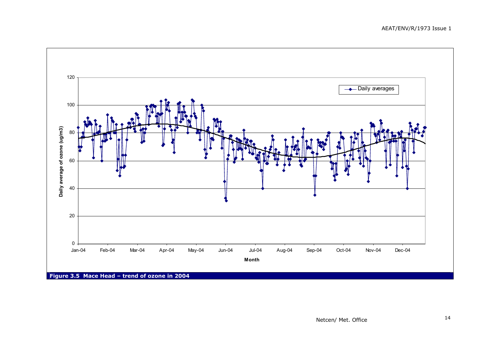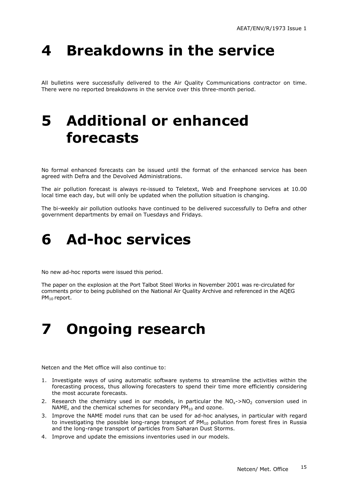## **4 Breakdowns in the service**

All bulletins were successfully delivered to the Air Quality Communications contractor on time. There were no reported breakdowns in the service over this three-month period.

## **5 Additional or enhanced forecasts**

No formal enhanced forecasts can be issued until the format of the enhanced service has been agreed with Defra and the Devolved Administrations.

The air pollution forecast is always re-issued to Teletext, Web and Freephone services at 10.00 local time each day, but will only be updated when the pollution situation is changing.

The bi-weekly air pollution outlooks have continued to be delivered successfully to Defra and other government departments by email on Tuesdays and Fridays.

## **6 Ad-hoc services**

No new ad-hoc reports were issued this period.

The paper on the explosion at the Port Talbot Steel Works in November 2001 was re-circulated for comments prior to being published on the National Air Quality Archive and referenced in the AQEG  $PM_{10}$  report.

# **7 Ongoing research**

Netcen and the Met office will also continue to:

- 1. Investigate ways of using automatic software systems to streamline the activities within the forecasting process, thus allowing forecasters to spend their time more efficiently considering the most accurate forecasts.
- 2. Research the chemistry used in our models, in particular the  $NO<sub>x</sub>$ ->NO<sub>2</sub> conversion used in NAME, and the chemical schemes for secondary  $PM_{10}$  and ozone.
- 3. Improve the NAME model runs that can be used for ad-hoc analyses, in particular with regard to investigating the possible long-range transport of  $PM_{10}$  pollution from forest fires in Russia and the long-range transport of particles from Saharan Dust Storms.
- 4. Improve and update the emissions inventories used in our models.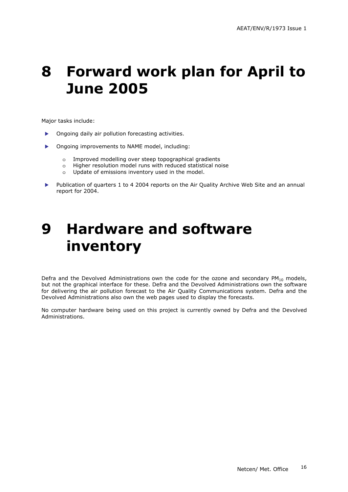## **8 Forward work plan for April to June 2005**

Major tasks include:

- $\triangleright$  Ongoing daily air pollution forecasting activities.
- Ongoing improvements to NAME model, including:
	- o Improved modelling over steep topographical gradients
	- o Higher resolution model runs with reduced statistical noise
	- o Update of emissions inventory used in the model.
- Publication of quarters 1 to 4 2004 reports on the Air Quality Archive Web Site and an annual report for 2004.

## **9 Hardware and software inventory**

Defra and the Devolved Administrations own the code for the ozone and secondary  $PM_{10}$  models, but not the graphical interface for these. Defra and the Devolved Administrations own the software for delivering the air pollution forecast to the Air Quality Communications system. Defra and the Devolved Administrations also own the web pages used to display the forecasts.

No computer hardware being used on this project is currently owned by Defra and the Devolved Administrations.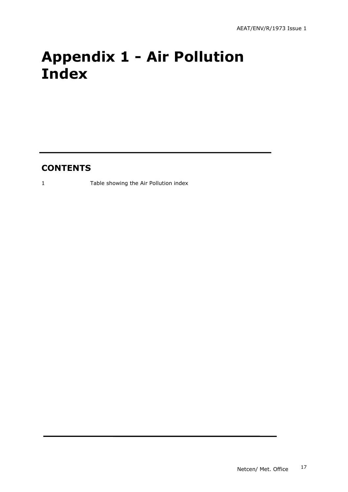# **Appendix 1 - Air Pollution Index**

### **CONTENTS**

1 Table showing the Air Pollution index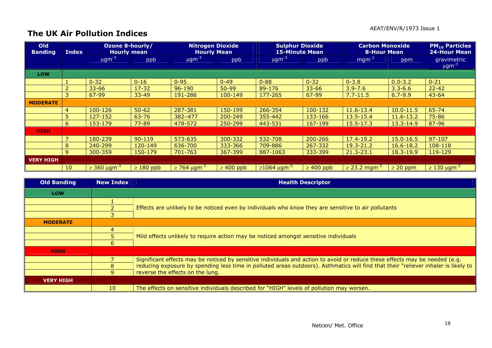### **The UK Air Pollution Indices**

| <b>Old</b><br><b>Banding</b> | <b>Index</b>   | Ozone 8-hourly/<br><b>Hourly mean</b> |                | <b>Nitrogen Dioxide</b><br><b>Hourly Mean</b> |                | <b>Sulphur Dioxide</b><br><b>15-Minute Mean</b> |                | <b>Carbon Monoxide</b><br><b>8-Hour Mean</b> |               | <b>PM<sub>10</sub> Particles</b><br><b>24-Hour Mean</b> |
|------------------------------|----------------|---------------------------------------|----------------|-----------------------------------------------|----------------|-------------------------------------------------|----------------|----------------------------------------------|---------------|---------------------------------------------------------|
|                              |                | $\mu$ gm <sup>-3</sup>                | ppb            | $\mu$ gm <sup>-3</sup>                        | ppb            | $\mu$ gm <sup>-3</sup>                          | ppb            | $mgm^{-3}$                                   | ppm           | gravimetric<br>$\mu$ gm <sup>-3</sup>                   |
| <b>LOW</b>                   |                |                                       |                |                                               |                |                                                 |                |                                              |               |                                                         |
|                              |                | $0 - 32$                              | $0 - 16$       | $0 - 95$                                      | $0 - 49$       | $0 - 88$                                        | $0 - 32$       | $0 - 3.8$                                    | $0.0 - 3.2$   | $0 - 21$                                                |
|                              | 2              | $33 - 66$                             | $17 - 32$      | 96-190                                        | 50-99          | 89-176                                          | $33 - 66$      | $3.9 - 7.6$                                  | $3.3 - 6.6$   | $22 - 42$                                               |
|                              | 3              | 67-99                                 | $33 - 49$      | 191-286                                       | 100-149        | 177-265                                         | 67-99          | $7.7 - 11.5$                                 | $6.7 - 9.9$   | $43 - 64$                                               |
| <b>MODERATE</b>              |                |                                       |                |                                               |                |                                                 |                |                                              |               |                                                         |
|                              | $\overline{4}$ | 100-126                               | $50 - 62$      | 287-381                                       | 150-199        | 266-354                                         | 100-132        | 11.6-13.4                                    | $10.0 - 11.5$ | 65-74                                                   |
|                              | 5              | $127 - 152$                           | $63 - 76$      | $382 - 477$                                   | 200-249        | 355-442                                         | 133-166        | 13.5-15.4                                    | $11.6 - 13.2$ | 75-86                                                   |
|                              | 6              | 153-179                               | $77 - 89$      | 478-572                                       | 250-299        | 443-531                                         | 167-199        | $15.5 - 17.3$                                | $13.3 - 14.9$ | 87-96                                                   |
| <b>HIGH</b>                  |                |                                       |                |                                               |                |                                                 |                |                                              |               |                                                         |
|                              |                | 180-239                               | $90 - 119$     | 573-635                                       | 300-332        | 532-708                                         | 200-266        | $17.4 - 19.2$                                | $15.0 - 16.5$ | $97 - 107$                                              |
|                              | 8              | 240-299                               | 120-149        | 636-700                                       | 333-366        | 709-886                                         | 267-332        | $19.3 - 21.2$                                | $16.6 - 18.2$ | 108-118                                                 |
|                              | 9              | 300-359                               | 150-179        | 701-763                                       | 367-399        | 887-1063                                        | 333-399        | $21.3 - 23.1$                                | 18.3-19.9     | 119-129                                                 |
| <b>VERY HIGH</b>             |                |                                       |                |                                               |                |                                                 |                |                                              |               |                                                         |
|                              | 10             | $\geq 360 \,\text{\mu g m}^{-3}$      | $\geq 180$ ppb | $\geq$ 764 $\mu$ gm <sup>-3</sup>             | $\geq 400$ ppb | $≥1064 \mu$ gm <sup>-3</sup>                    | $\geq 400$ ppb | $\geq$ 23.2 mgm <sup>-3</sup>                | $\geq$ 20 ppm | $\geq$ 130 µgm <sup>-3</sup>                            |

| <b>Old Banding</b> | <b>New Index</b> | <b>Health Descriptor</b>                                                                                                            |  |  |  |  |  |  |
|--------------------|------------------|-------------------------------------------------------------------------------------------------------------------------------------|--|--|--|--|--|--|
| <b>LOW</b>         |                  |                                                                                                                                     |  |  |  |  |  |  |
|                    |                  |                                                                                                                                     |  |  |  |  |  |  |
|                    |                  | Effects are unlikely to be noticed even by individuals who know they are sensitive to air pollutants                                |  |  |  |  |  |  |
|                    |                  |                                                                                                                                     |  |  |  |  |  |  |
| <b>MODERATE</b>    |                  |                                                                                                                                     |  |  |  |  |  |  |
|                    |                  |                                                                                                                                     |  |  |  |  |  |  |
|                    |                  | Mild effects unlikely to require action may be noticed amongst sensitive individuals                                                |  |  |  |  |  |  |
|                    | 6                |                                                                                                                                     |  |  |  |  |  |  |
| <b>HIGH</b>        |                  |                                                                                                                                     |  |  |  |  |  |  |
|                    |                  | Significant effects may be noticed by sensitive individuals and action to avoid or reduce these effects may be needed (e.g.         |  |  |  |  |  |  |
|                    |                  | reducing exposure by spending less time in polluted areas outdoors). Asthmatics will find that their "reliever inhaler is likely to |  |  |  |  |  |  |
|                    | q                | reverse the effects on the lung.                                                                                                    |  |  |  |  |  |  |
| <b>VERY HIGH</b>   |                  |                                                                                                                                     |  |  |  |  |  |  |
|                    | 10 <sup>°</sup>  | The effects on sensitive individuals described for "HIGH" levels of pollution may worsen.                                           |  |  |  |  |  |  |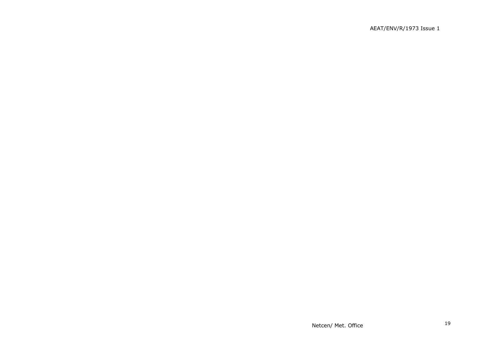AEAT/ENV/R/1973 Issue 1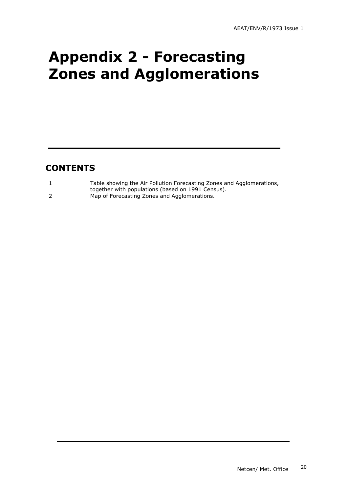# **Appendix 2 - Forecasting Zones and Agglomerations**

### **CONTENTS**

| Table showing the Air Pollution Forecasting Zones and Agglomerations, |
|-----------------------------------------------------------------------|
| together with populations (based on 1991 Census).                     |
| Map of Forecasting Zones and Agglomerations.                          |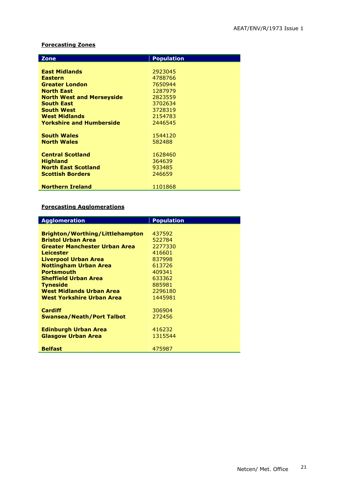#### **Forecasting Zones**

| <b>Zone</b>                      | <b>Population</b> |
|----------------------------------|-------------------|
|                                  |                   |
| <b>East Midlands</b>             | 2923045           |
| <b>Eastern</b>                   | 4788766           |
| <b>Greater London</b>            | 7650944           |
| <b>North East</b>                | 1287979           |
| <b>North West and Merseyside</b> | 2823559           |
| <b>South East</b>                | 3702634           |
| <b>South West</b>                | 3728319           |
| <b>West Midlands</b>             | 2154783           |
| <b>Yorkshire and Humberside</b>  | 2446545           |
|                                  |                   |
| <b>South Wales</b>               | 1544120           |
| <b>North Wales</b>               | 582488            |
|                                  |                   |
| <b>Central Scotland</b>          | 1628460           |
| <b>Highland</b>                  | 364639            |
| <b>North East Scotland</b>       | 933485            |
| <b>Scottish Borders</b>          | 246659            |
|                                  |                   |
| <b>Northern Ireland</b>          | 1101868           |

#### **Forecasting Agglomerations**

| <b>Agglomeration</b>                   | <b>Population</b> |
|----------------------------------------|-------------------|
|                                        |                   |
| <b>Brighton/Worthing/Littlehampton</b> | 437592            |
| <b>Bristol Urban Area</b>              | 522784            |
| Greater Manchester Urban Area          | 2277330           |
| <b>Leicester</b>                       | 416601            |
| <b>Liverpool Urban Area</b>            | 837998            |
| <b>Nottingham Urban Area</b>           | 613726            |
| <b>Portsmouth</b>                      | 409341            |
| <b>Sheffield Urban Area</b>            | 633362            |
| <b>Tyneside</b>                        | 885981            |
| <b>West Midlands Urban Area</b>        | 2296180           |
| West Yorkshire Urban Area              | 1445981           |
|                                        |                   |
| <b>Cardiff</b>                         | 306904            |
| <b>Swansea/Neath/Port Talbot</b>       | 272456            |
|                                        |                   |
| <b>Edinburgh Urban Area</b>            | 416232            |
| <b>Glasgow Urban Area</b>              | 1315544           |
|                                        |                   |
| <b>Belfast</b>                         | 475987            |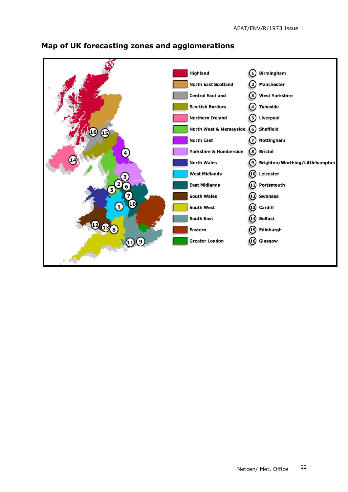

#### **Map of UK forecasting zones and agglomerations**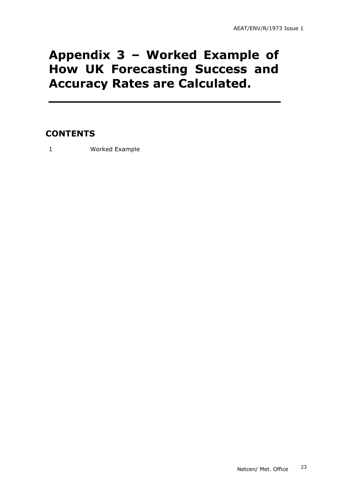### **Appendix 3 – Worked Example of How UK Forecasting Success and Accuracy Rates are Calculated.**

### **CONTENTS**

1 Worked Example